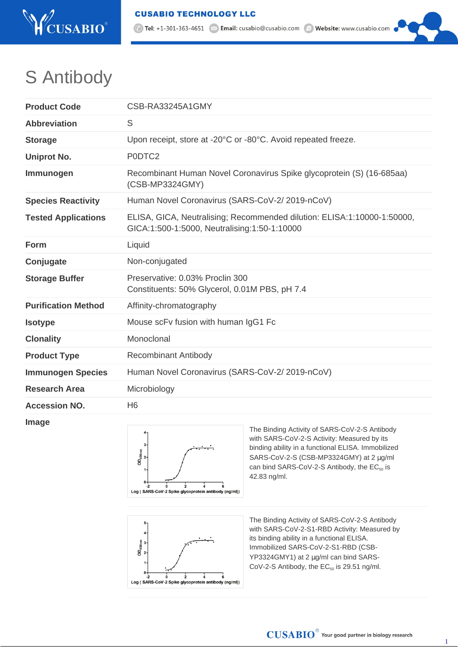

1 Tel: +1-301-363-4651 <br>
<br />
Email: cusabio@cusabio.com <br>
and<br />
Website: www.cusabio.com <br>
C Website: www.cusabio.com <br>
C Website: www.cusabio.com <br>
C Website: www.cusabio.com <br>
C Website: www.cusabio.com <br>
C Websit

## S Antibody

| <b>Product Code</b>        | CSB-RA33245A1GMY                                                                                                        |
|----------------------------|-------------------------------------------------------------------------------------------------------------------------|
| <b>Abbreviation</b>        | S                                                                                                                       |
| <b>Storage</b>             | Upon receipt, store at -20°C or -80°C. Avoid repeated freeze.                                                           |
| <b>Uniprot No.</b>         | P0DTC2                                                                                                                  |
| Immunogen                  | Recombinant Human Novel Coronavirus Spike glycoprotein (S) (16-685aa)<br>(CSB-MP3324GMY)                                |
| <b>Species Reactivity</b>  | Human Novel Coronavirus (SARS-CoV-2/2019-nCoV)                                                                          |
| <b>Tested Applications</b> | ELISA, GICA, Neutralising; Recommended dilution: ELISA:1:10000-1:50000,<br>GICA:1:500-1:5000, Neutralising:1:50-1:10000 |
| <b>Form</b>                | Liquid                                                                                                                  |
| Conjugate                  | Non-conjugated                                                                                                          |
| <b>Storage Buffer</b>      | Preservative: 0.03% Proclin 300<br>Constituents: 50% Glycerol, 0.01M PBS, pH 7.4                                        |
| <b>Purification Method</b> | Affinity-chromatography                                                                                                 |
| <b>Isotype</b>             | Mouse scFv fusion with human IgG1 Fc                                                                                    |
| <b>Clonality</b>           | Monoclonal                                                                                                              |
| <b>Product Type</b>        | <b>Recombinant Antibody</b>                                                                                             |
| <b>Immunogen Species</b>   | Human Novel Coronavirus (SARS-CoV-2/2019-nCoV)                                                                          |
| <b>Research Area</b>       | Microbiology                                                                                                            |
| <b>Accession NO.</b>       | H <sub>6</sub>                                                                                                          |

## **Image**



The Binding Activity of SARS-CoV-2-S Antibody with SARS-CoV-2-S Activity: Measured by its binding ability in a functional ELISA. Immobilized SARS-CoV-2-S (CSB-MP3324GMY) at 2 µg/ml can bind SARS-CoV-2-S Antibody, the  $EC_{50}$  is 42.83 ng/ml.



The Binding Activity of SARS-CoV-2-S Antibody with SARS-CoV-2-S1-RBD Activity: Measured by its binding ability in a functional ELISA. Immobilized SARS-CoV-2-S1-RBD (CSB-YP3324GMY1) at 2 µg/ml can bind SARS-CoV-2-S Antibody, the  $EC_{50}$  is 29.51 ng/ml.

1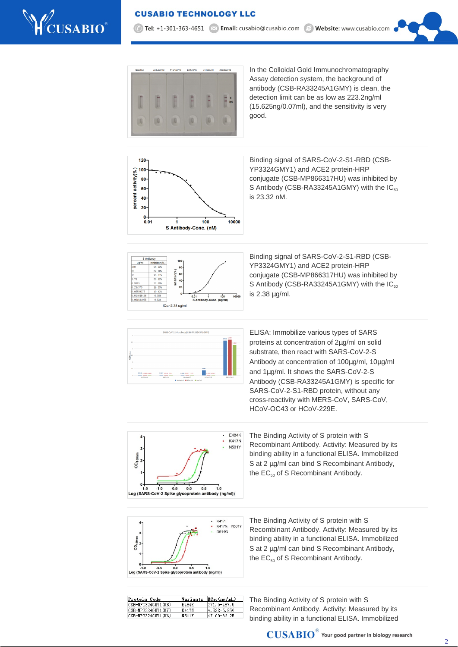



In the Colloidal Gold Immunochromatography Assay detection system, the background of antibody (CSB-RA33245A1GMY) is clean, the detection limit can be as low as 223.2ng/ml (15.625ng/0.07ml), and the sensitivity is very good.



Binding signal of SARS-CoV-2-S1-RBD (CSB-YP3324GMY1) and ACE2 protein-HRP conjugate (CSB-MP866317HU) was inhibited by S Antibody (CSB-RA33245A1GMY) with the  $IC_{50}$ is 23.32 nM.



Binding signal of SARS-CoV-2-S1-RBD (CSB-YP3324GMY1) and ACE2 protein-HRP conjugate (CSB-MP866317HU) was inhibited by S Antibody (CSB-RA33245A1GMY) with the IC<sub>50</sub> is 2.38 µg/ml.



ELISA: Immobilize various types of SARS proteins at concentration of 2µg/ml on solid substrate, then react with SARS-CoV-2-S Antibody at concentration of 100µg/ml, 10µg/ml and 1µg/ml. It shows the SARS-CoV-2-S Antibody (CSB-RA33245A1GMY) is specific for SARS-CoV-2-S1-RBD protein, without any cross-reactivity with MERS-CoV, SARS-CoV, HCoV-OC43 or HCoV-229E.



The Binding Activity of S protein with S Recombinant Antibody. Activity: Measured by its binding ability in a functional ELISA. Immobilized S at 2  $\mu$ g/ml can bind S Recombinant Antibody, the  $EC_{50}$  of S Recombinant Antibody.



The Binding Activity of S protein with S Recombinant Antibody. Activity: Measured by its binding ability in a functional ELISA. Immobilized S at 2  $\mu$ g/ml can bind S Recombinant Antibody, the EC<sub>50</sub> of S Recombinant Antibody.

| Protein Code       | Variants | $EC_{50}$ (ng/mL) |
|--------------------|----------|-------------------|
| CSB-MP3324GMY1(M8) | E484K    | 371.0-487.5       |
| CSB-MP3324GMY1(M7) | K417N    | 4.522-5.950       |
| CSB-MP3324GMY1(M6) | N501Y    | 47.09-86.25       |

The Binding Activity of S protein with S Recombinant Antibody. Activity: Measured by its binding ability in a functional ELISA. Immobilized